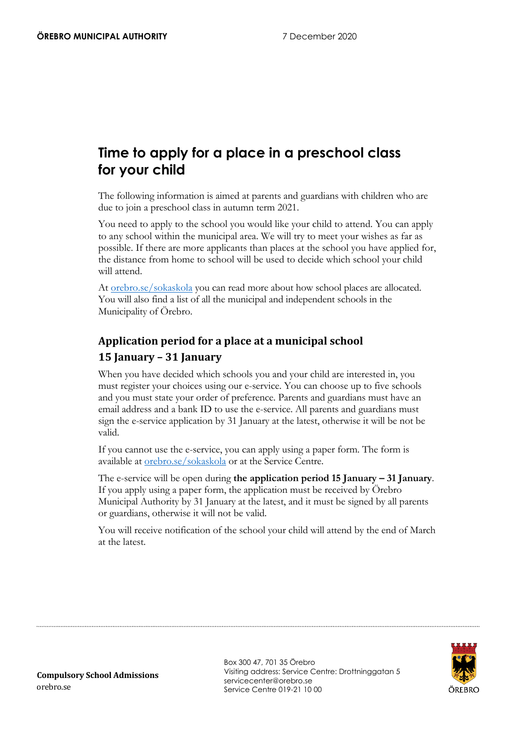# **Time to apply for a place in a preschool class for your child**

The following information is aimed at parents and guardians with children who are due to join a preschool class in autumn term 2021.

You need to apply to the school you would like your child to attend. You can apply to any school within the municipal area. We will try to meet your wishes as far as possible. If there are more applicants than places at the school you have applied for, the distance from home to school will be used to decide which school your child will attend.

At [orebro.se/sokaskola](https://www.orebro.se/sokaskola) you can read more about how school places are allocated. You will also find a list of all the municipal and independent schools in the Municipality of Örebro.

## **Application period for a place at a municipal school 15 January – 31 January**

When you have decided which schools you and your child are interested in, you must register your choices using our e-service. You can choose up to five schools and you must state your order of preference. Parents and guardians must have an email address and a bank ID to use the e-service. All parents and guardians must sign the e-service application by 31 January at the latest, otherwise it will be not be valid.

If you cannot use the e-service, you can apply using a paper form. The form is available at [orebro.se/sokaskola](https://www.orebro.se/sokaskola) or at the Service Centre.

The e-service will be open during **the application period 15 January – 31 January**. If you apply using a paper form, the application must be received by Örebro Municipal Authority by 31 January at the latest, and it must be signed by all parents or guardians, otherwise it will not be valid.

You will receive notification of the school your child will attend by the end of March at the latest.



Box 300 47, 701 35 Örebro Visiting address: Service Centre: Drottninggatan 5 servicecenter@orebro.se Service Centre 019-21 10 00